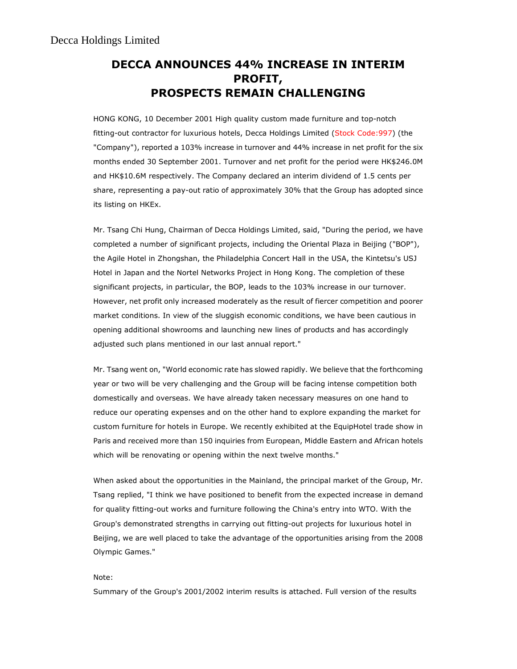## DECCA ANNOUNCES 44% INCREASE IN INTERIM PROFIT, PROSPECTS REMAIN CHALLENGING

HONG KONG, 10 December 2001 High quality custom made furniture and top-notch fitting-out contractor for luxurious hotels, Decca Holdings Limited (Stock Code:997) (the "Company"), reported a 103% increase in turnover and 44% increase in net profit for the six months ended 30 September 2001. Turnover and net profit for the period were HK\$246.0M and HK\$10.6M respectively. The Company declared an interim dividend of 1.5 cents per share, representing a pay-out ratio of approximately 30% that the Group has adopted since its listing on HKEx.

Mr. Tsang Chi Hung, Chairman of Decca Holdings Limited, said, "During the period, we have completed a number of significant projects, including the Oriental Plaza in Beijing ("BOP"), the Agile Hotel in Zhongshan, the Philadelphia Concert Hall in the USA, the Kintetsu's USJ Hotel in Japan and the Nortel Networks Project in Hong Kong. The completion of these significant projects, in particular, the BOP, leads to the 103% increase in our turnover. However, net profit only increased moderately as the result of fiercer competition and poorer market conditions. In view of the sluggish economic conditions, we have been cautious in opening additional showrooms and launching new lines of products and has accordingly adjusted such plans mentioned in our last annual report."

Mr. Tsang went on, "World economic rate has slowed rapidly. We believe that the forthcoming year or two will be very challenging and the Group will be facing intense competition both domestically and overseas. We have already taken necessary measures on one hand to reduce our operating expenses and on the other hand to explore expanding the market for custom furniture for hotels in Europe. We recently exhibited at the EquipHotel trade show in Paris and received more than 150 inquiries from European, Middle Eastern and African hotels which will be renovating or opening within the next twelve months."

When asked about the opportunities in the Mainland, the principal market of the Group, Mr. Tsang replied, "I think we have positioned to benefit from the expected increase in demand for quality fitting-out works and furniture following the China's entry into WTO. With the Group's demonstrated strengths in carrying out fitting-out projects for luxurious hotel in Beijing, we are well placed to take the advantage of the opportunities arising from the 2008 Olympic Games."

## Note:

Summary of the Group's 2001/2002 interim results is attached. Full version of the results